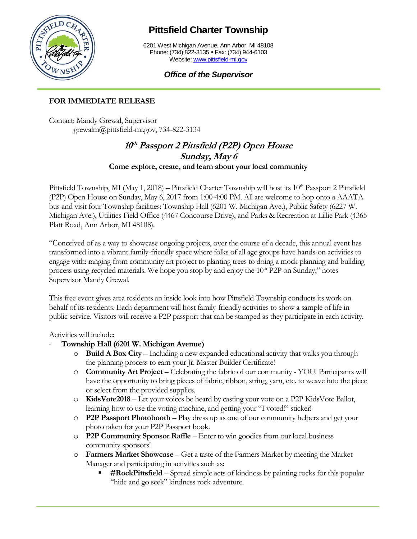

## **Pittsfield Charter Township**

6201 West Michigan Avenue, Ann Arbor, MI 48108 Phone: (734) 822-3135 • Fax: (734) 944-6103 Website[: www.pittsfield-mi.gov](http://www.pittsfield-mi.gov/)

## *Office of the Supervisor*

## **FOR IMMEDIATE RELEASE**

Contact: Mandy Grewal, Supervisor grewalm@pittsfield-mi.gov, 734-822-3134

## **10 th Passport 2 Pittsfield (P2P) Open House Sunday, May 6 Come <sup>e</sup>xplore, create, and learn about your local community**

Pittsfield Township, MI (May 1, 2018) – Pittsfield Charter Township will host its  $10^{th}$  Passport 2 Pittsfield (P2P) Open House on Sunday, May 6, 2017 from 1:00-4:00 PM. All are welcome to hop onto a AAATA bus and visit four Township facilities: Township Hall (6201 W. Michigan Ave.), Public Safety (6227 W. Michigan Ave.), Utilities Field Office (4467 Concourse Drive), and Parks & Recreation at Lillie Park (4365 Platt Road, Ann Arbor, MI 48108).

"Conceived of as a way to showcase ongoing projects, over the course of a decade, this annual event has transformed into a vibrant family-friendly space where folks of all age groups have hands-on activities to engage with: ranging from community art project to planting trees to doing a mock planning and building process using recycled materials. We hope you stop by and enjoy the  $10<sup>th</sup>$  P2P on Sunday," notes Supervisor Mandy Grewal.

This free event gives area residents an inside look into how Pittsfield Township conducts its work on behalf of its residents. Each department will host family-friendly activities to show a sample of life in public service. Visitors will receive a P2P passport that can be stamped as they participate in each activity.

Activities will include:

- **Township Hall (6201 W. Michigan Avenue)**
	- o **Build A Box City** Including a new expanded educational activity that walks you through the planning process to earn your Jr. Master Builder Certificate!
	- o **Community Art Project** Celebrating the fabric of our community YOU! Participants will have the opportunity to bring pieces of fabric, ribbon, string, yarn, etc. to weave into the piece or select from the provided supplies.
	- o **KidsVote2018** Let your voices be heard by casting your vote on a P2P KidsVote Ballot, learning how to use the voting machine, and getting your "I voted!" sticker!
	- o **P2P Passport Photobooth** Play dress up as one of our community helpers and get your photo taken for your P2P Passport book.
	- o **P2P Community Sponsor Raffle** Enter to win goodies from our local business community sponsors!
	- o **Farmers Market Showcase** Get a taste of the Farmers Market by meeting the Market Manager and participating in activities such as:
		- **#RockPittsfield** Spread simple acts of kindness by painting rocks for this popular "hide and go seek" kindness rock adventure.